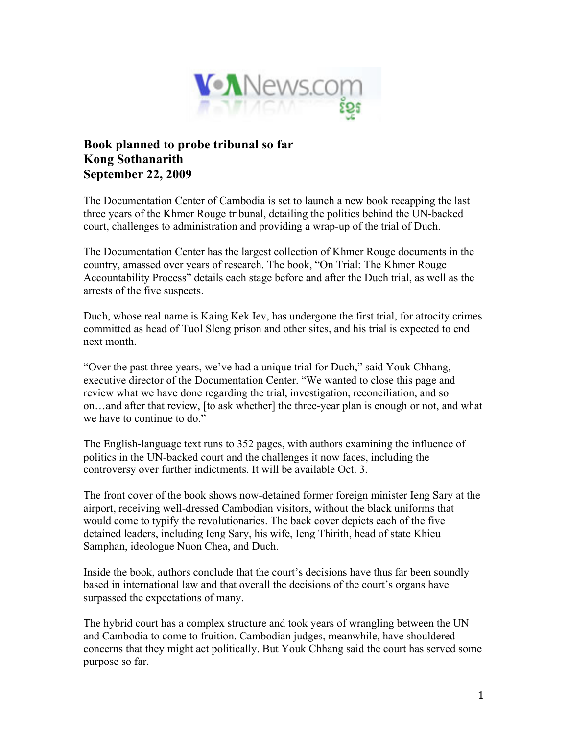

## **Book planned to probe tribunal so far Kong Sothanarith September 22, 2009**

The Documentation Center of Cambodia is set to launch a new book recapping the last three years of the Khmer Rouge tribunal, detailing the politics behind the UN-backed court, challenges to administration and providing a wrap-up of the trial of Duch.

The Documentation Center has the largest collection of Khmer Rouge documents in the country, amassed over years of research. The book, "On Trial: The Khmer Rouge Accountability Process" details each stage before and after the Duch trial, as well as the arrests of the five suspects.

Duch, whose real name is Kaing Kek Iev, has undergone the first trial, for atrocity crimes committed as head of Tuol Sleng prison and other sites, and his trial is expected to end next month.

"Over the past three years, we've had a unique trial for Duch," said Youk Chhang, executive director of the Documentation Center. "We wanted to close this page and review what we have done regarding the trial, investigation, reconciliation, and so on…and after that review, [to ask whether] the three-year plan is enough or not, and what we have to continue to do."

The English-language text runs to 352 pages, with authors examining the influence of politics in the UN-backed court and the challenges it now faces, including the controversy over further indictments. It will be available Oct. 3.

The front cover of the book shows now-detained former foreign minister Ieng Sary at the airport, receiving well-dressed Cambodian visitors, without the black uniforms that would come to typify the revolutionaries. The back cover depicts each of the five detained leaders, including Ieng Sary, his wife, Ieng Thirith, head of state Khieu Samphan, ideologue Nuon Chea, and Duch.

Inside the book, authors conclude that the court's decisions have thus far been soundly based in international law and that overall the decisions of the court's organs have surpassed the expectations of many.

The hybrid court has a complex structure and took years of wrangling between the UN and Cambodia to come to fruition. Cambodian judges, meanwhile, have shouldered concerns that they might act politically. But Youk Chhang said the court has served some purpose so far.